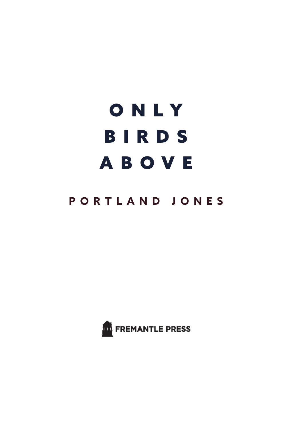## ONLY BIRDS ABOVE

## **PORTLAND JONES**

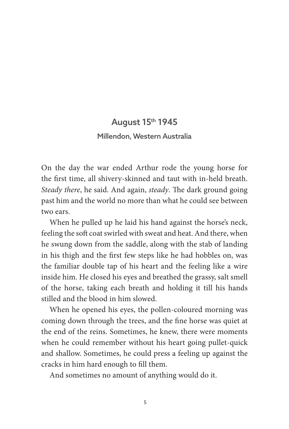## August 15th 1945 Millendon, Western Australia

On the day the war ended Arthur rode the young horse for the first time, all shivery-skinned and taut with in-held breath. *Steady there*, he said. And again, *steady*. The dark ground going past him and the world no more than what he could see between two ears.

When he pulled up he laid his hand against the horse's neck, feeling the soft coat swirled with sweat and heat. And there, when he swung down from the saddle, along with the stab of landing in his thigh and the first few steps like he had hobbles on, was the familiar double tap of his heart and the feeling like a wire inside him. He closed his eyes and breathed the grassy, salt smell of the horse, taking each breath and holding it till his hands stilled and the blood in him slowed.

When he opened his eyes, the pollen-coloured morning was coming down through the trees, and the fine horse was quiet at the end of the reins. Sometimes, he knew, there were moments when he could remember without his heart going pullet-quick and shallow. Sometimes, he could press a feeling up against the cracks in him hard enough to fill them.

And sometimes no amount of anything would do it.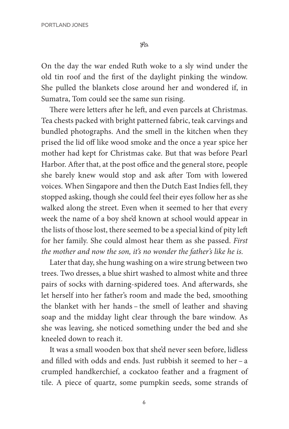$49$ 

On the day the war ended Ruth woke to a sly wind under the old tin roof and the first of the daylight pinking the window. She pulled the blankets close around her and wondered if, in Sumatra, Tom could see the same sun rising.

There were letters after he left, and even parcels at Christmas. Tea chests packed with bright patterned fabric, teak carvings and bundled photographs. And the smell in the kitchen when they prised the lid off like wood smoke and the once a year spice her mother had kept for Christmas cake. But that was before Pearl Harbor. After that, at the post office and the general store, people she barely knew would stop and ask after Tom with lowered voices. When Singapore and then the Dutch East Indies fell, they stopped asking, though she could feel their eyes follow her as she walked along the street. Even when it seemed to her that every week the name of a boy she'd known at school would appear in the lists of those lost, there seemed to be a special kind of pity left for her family. She could almost hear them as she passed. *First the mother and now the son, it's no wonder the father's like he is.*

Later that day, she hung washing on a wire strung between two trees. Two dresses, a blue shirt washed to almost white and three pairs of socks with darning-spidered toes. And afterwards, she let herself into her father's room and made the bed, smoothing the blanket with her hands – the smell of leather and shaving soap and the midday light clear through the bare window. As she was leaving, she noticed something under the bed and she kneeled down to reach it.

It was a small wooden box that she'd never seen before, lidless and filled with odds and ends. Just rubbish it seemed to her – a crumpled handkerchief, a cockatoo feather and a fragment of tile. A piece of quartz, some pumpkin seeds, some strands of

6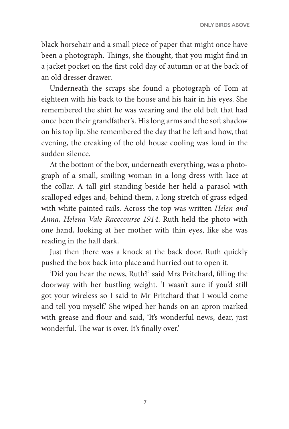black horsehair and a small piece of paper that might once have been a photograph. Things, she thought, that you might find in a jacket pocket on the first cold day of autumn or at the back of an old dresser drawer.

Underneath the scraps she found a photograph of Tom at eighteen with his back to the house and his hair in his eyes. She remembered the shirt he was wearing and the old belt that had once been their grandfather's. His long arms and the soft shadow on his top lip. She remembered the day that he left and how, that evening, the creaking of the old house cooling was loud in the sudden silence.

At the bottom of the box, underneath everything, was a photograph of a small, smiling woman in a long dress with lace at the collar. A tall girl standing beside her held a parasol with scalloped edges and, behind them, a long stretch of grass edged with white painted rails. Across the top was written *Helen and Anna, Helena Vale Racecourse 1914*. Ruth held the photo with one hand, looking at her mother with thin eyes, like she was reading in the half dark.

Just then there was a knock at the back door. Ruth quickly pushed the box back into place and hurried out to open it.

'Did you hear the news, Ruth?' said Mrs Pritchard, filling the doorway with her bustling weight. 'I wasn't sure if you'd still got your wireless so I said to Mr Pritchard that I would come and tell you myself.' She wiped her hands on an apron marked with grease and flour and said, 'It's wonderful news, dear, just wonderful. The war is over. It's finally over.'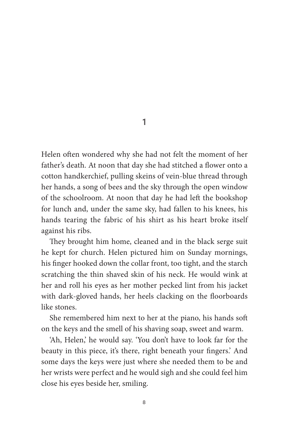Helen often wondered why she had not felt the moment of her father's death. At noon that day she had stitched a flower onto a cotton handkerchief, pulling skeins of vein-blue thread through her hands, a song of bees and the sky through the open window of the schoolroom. At noon that day he had left the bookshop for lunch and, under the same sky, had fallen to his knees, his hands tearing the fabric of his shirt as his heart broke itself against his ribs.

They brought him home, cleaned and in the black serge suit he kept for church. Helen pictured him on Sunday mornings, his finger hooked down the collar front, too tight, and the starch scratching the thin shaved skin of his neck. He would wink at her and roll his eyes as her mother pecked lint from his jacket with dark-gloved hands, her heels clacking on the floorboards like stones.

She remembered him next to her at the piano, his hands soft on the keys and the smell of his shaving soap, sweet and warm.

'Ah, Helen,' he would say. 'You don't have to look far for the beauty in this piece, it's there, right beneath your fingers.' And some days the keys were just where she needed them to be and her wrists were perfect and he would sigh and she could feel him close his eyes beside her, smiling.

1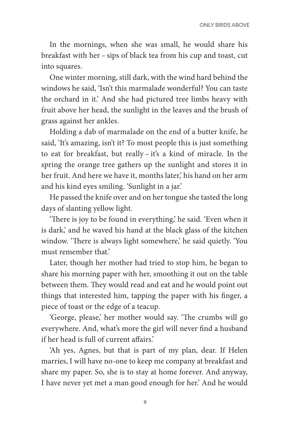In the mornings, when she was small, he would share his breakfast with her – sips of black tea from his cup and toast, cut into squares.

One winter morning, still dark, with the wind hard behind the windows he said, 'Isn't this marmalade wonderful? You can taste the orchard in it.' And she had pictured tree limbs heavy with fruit above her head, the sunlight in the leaves and the brush of grass against her ankles.

Holding a dab of marmalade on the end of a butter knife, he said, 'It's amazing, isn't it? To most people this is just something to eat for breakfast, but really – it's a kind of miracle. In the spring the orange tree gathers up the sunlight and stores it in her fruit. And here we have it, months later,' his hand on her arm and his kind eyes smiling. 'Sunlight in a jar.'

He passed the knife over and on her tongue she tasted the long days of slanting yellow light.

'There is joy to be found in everything,' he said. 'Even when it is dark,' and he waved his hand at the black glass of the kitchen window. 'There is always light somewhere,' he said quietly. 'You must remember that.'

Later, though her mother had tried to stop him, he began to share his morning paper with her, smoothing it out on the table between them. They would read and eat and he would point out things that interested him, tapping the paper with his finger, a piece of toast or the edge of a teacup.

'George, please,' her mother would say. 'The crumbs will go everywhere. And, what's more the girl will never find a husband if her head is full of current affairs.'

'Ah yes, Agnes, but that is part of my plan, dear. If Helen marries, I will have no-one to keep me company at breakfast and share my paper. So, she is to stay at home forever. And anyway, I have never yet met a man good enough for her.' And he would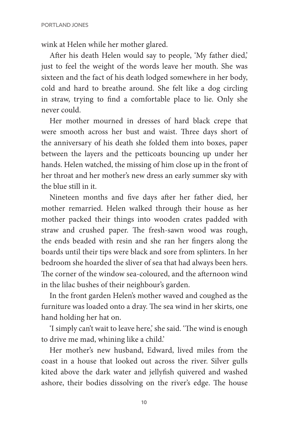wink at Helen while her mother glared.

After his death Helen would say to people, 'My father died,' just to feel the weight of the words leave her mouth. She was sixteen and the fact of his death lodged somewhere in her body, cold and hard to breathe around. She felt like a dog circling in straw, trying to find a comfortable place to lie. Only she never could.

Her mother mourned in dresses of hard black crepe that were smooth across her bust and waist. Three days short of the anniversary of his death she folded them into boxes, paper between the layers and the petticoats bouncing up under her hands. Helen watched, the missing of him close up in the front of her throat and her mother's new dress an early summer sky with the blue still in it.

Nineteen months and five days after her father died, her mother remarried. Helen walked through their house as her mother packed their things into wooden crates padded with straw and crushed paper. The fresh-sawn wood was rough, the ends beaded with resin and she ran her fingers along the boards until their tips were black and sore from splinters. In her bedroom she hoarded the sliver of sea that had always been hers. The corner of the window sea-coloured, and the afternoon wind in the lilac bushes of their neighbour's garden.

In the front garden Helen's mother waved and coughed as the furniture was loaded onto a dray. The sea wind in her skirts, one hand holding her hat on.

'I simply can't wait to leave here,' she said. 'The wind is enough to drive me mad, whining like a child.'

Her mother's new husband, Edward, lived miles from the coast in a house that looked out across the river. Silver gulls kited above the dark water and jellyfish quivered and washed ashore, their bodies dissolving on the river's edge. The house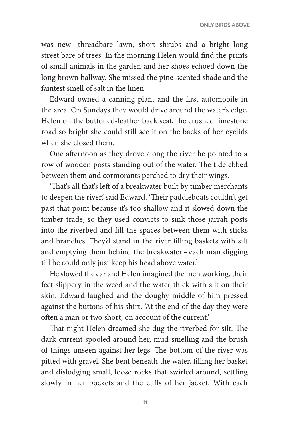was new – threadbare lawn, short shrubs and a bright long street bare of trees. In the morning Helen would find the prints of small animals in the garden and her shoes echoed down the long brown hallway. She missed the pine-scented shade and the faintest smell of salt in the linen.

Edward owned a canning plant and the first automobile in the area. On Sundays they would drive around the water's edge, Helen on the buttoned-leather back seat, the crushed limestone road so bright she could still see it on the backs of her eyelids when she closed them.

One afternoon as they drove along the river he pointed to a row of wooden posts standing out of the water. The tide ebbed between them and cormorants perched to dry their wings.

'That's all that's left of a breakwater built by timber merchants to deepen the river,' said Edward. 'Their paddleboats couldn't get past that point because it's too shallow and it slowed down the timber trade, so they used convicts to sink those jarrah posts into the riverbed and fill the spaces between them with sticks and branches. They'd stand in the river filling baskets with silt and emptying them behind the breakwater – each man digging till he could only just keep his head above water.'

He slowed the car and Helen imagined the men working, their feet slippery in the weed and the water thick with silt on their skin. Edward laughed and the doughy middle of him pressed against the buttons of his shirt. 'At the end of the day they were often a man or two short, on account of the current.'

That night Helen dreamed she dug the riverbed for silt. The dark current spooled around her, mud-smelling and the brush of things unseen against her legs. The bottom of the river was pitted with gravel. She bent beneath the water, filling her basket and dislodging small, loose rocks that swirled around, settling slowly in her pockets and the cuffs of her jacket. With each

11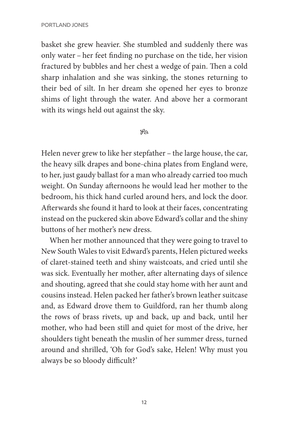basket she grew heavier. She stumbled and suddenly there was only water – her feet finding no purchase on the tide, her vision fractured by bubbles and her chest a wedge of pain. Then a cold sharp inhalation and she was sinking, the stones returning to their bed of silt. In her dream she opened her eyes to bronze shims of light through the water. And above her a cormorant with its wings held out against the sky.

## $49$

Helen never grew to like her stepfather – the large house, the car, the heavy silk drapes and bone-china plates from England were, to her, just gaudy ballast for a man who already carried too much weight. On Sunday afternoons he would lead her mother to the bedroom, his thick hand curled around hers, and lock the door. Afterwards she found it hard to look at their faces, concentrating instead on the puckered skin above Edward's collar and the shiny buttons of her mother's new dress.

When her mother announced that they were going to travel to New South Wales to visit Edward's parents, Helen pictured weeks of claret-stained teeth and shiny waistcoats, and cried until she was sick. Eventually her mother, after alternating days of silence and shouting, agreed that she could stay home with her aunt and cousins instead. Helen packed her father's brown leather suitcase and, as Edward drove them to Guildford, ran her thumb along the rows of brass rivets, up and back, up and back, until her mother, who had been still and quiet for most of the drive, her shoulders tight beneath the muslin of her summer dress, turned around and shrilled, 'Oh for God's sake, Helen! Why must you always be so bloody difficult?'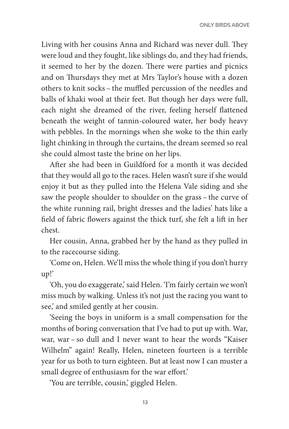Living with her cousins Anna and Richard was never dull. They were loud and they fought, like siblings do, and they had friends, it seemed to her by the dozen. There were parties and picnics and on Thursdays they met at Mrs Taylor's house with a dozen others to knit socks – the muffled percussion of the needles and balls of khaki wool at their feet. But though her days were full, each night she dreamed of the river, feeling herself flattened beneath the weight of tannin-coloured water, her body heavy with pebbles. In the mornings when she woke to the thin early light chinking in through the curtains, the dream seemed so real she could almost taste the brine on her lips.

After she had been in Guildford for a month it was decided that they would all go to the races. Helen wasn't sure if she would enjoy it but as they pulled into the Helena Vale siding and she saw the people shoulder to shoulder on the grass – the curve of the white running rail, bright dresses and the ladies' hats like a field of fabric flowers against the thick turf, she felt a lift in her chest.

Her cousin, Anna, grabbed her by the hand as they pulled in to the racecourse siding.

'Come on, Helen. We'll miss the whole thing if you don't hurry up!'

'Oh, you do exaggerate,' said Helen. 'I'm fairly certain we won't miss much by walking. Unless it's not just the racing you want to see,' and smiled gently at her cousin.

'Seeing the boys in uniform is a small compensation for the months of boring conversation that I've had to put up with. War, war, war – so dull and I never want to hear the words "Kaiser Wilhelm" again! Really, Helen, nineteen fourteen is a terrible year for us both to turn eighteen. But at least now I can muster a small degree of enthusiasm for the war effort.'

'You are terrible, cousin,' giggled Helen.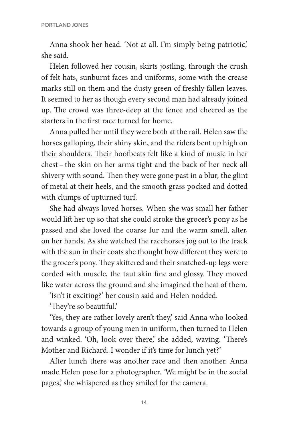Anna shook her head. 'Not at all. I'm simply being patriotic,' she said.

Helen followed her cousin, skirts jostling, through the crush of felt hats, sunburnt faces and uniforms, some with the crease marks still on them and the dusty green of freshly fallen leaves. It seemed to her as though every second man had already joined up. The crowd was three-deep at the fence and cheered as the starters in the first race turned for home.

Anna pulled her until they were both at the rail. Helen saw the horses galloping, their shiny skin, and the riders bent up high on their shoulders. Their hoofbeats felt like a kind of music in her chest – the skin on her arms tight and the back of her neck all shivery with sound. Then they were gone past in a blur, the glint of metal at their heels, and the smooth grass pocked and dotted with clumps of upturned turf.

She had always loved horses. When she was small her father would lift her up so that she could stroke the grocer's pony as he passed and she loved the coarse fur and the warm smell, after, on her hands. As she watched the racehorses jog out to the track with the sun in their coats she thought how different they were to the grocer's pony. They skittered and their snatched-up legs were corded with muscle, the taut skin fine and glossy. They moved like water across the ground and she imagined the heat of them.

'Isn't it exciting?' her cousin said and Helen nodded.

'They're so beautiful.'

'Yes, they are rather lovely aren't they,' said Anna who looked towards a group of young men in uniform, then turned to Helen and winked. 'Oh, look over there,' she added, waving. 'There's Mother and Richard. I wonder if it's time for lunch yet?'

After lunch there was another race and then another. Anna made Helen pose for a photographer. 'We might be in the social pages,' she whispered as they smiled for the camera.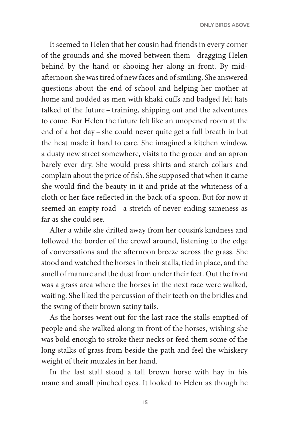It seemed to Helen that her cousin had friends in every corner of the grounds and she moved between them – dragging Helen behind by the hand or shooing her along in front. By midafternoon she was tired of new faces and of smiling. She answered questions about the end of school and helping her mother at home and nodded as men with khaki cuffs and badged felt hats talked of the future – training, shipping out and the adventures to come. For Helen the future felt like an unopened room at the end of a hot day – she could never quite get a full breath in but the heat made it hard to care. She imagined a kitchen window, a dusty new street somewhere, visits to the grocer and an apron barely ever dry. She would press shirts and starch collars and complain about the price of fish. She supposed that when it came she would find the beauty in it and pride at the whiteness of a cloth or her face reflected in the back of a spoon. But for now it seemed an empty road – a stretch of never-ending sameness as far as she could see.

After a while she drifted away from her cousin's kindness and followed the border of the crowd around, listening to the edge of conversations and the afternoon breeze across the grass. She stood and watched the horses in their stalls, tied in place, and the smell of manure and the dust from under their feet. Out the front was a grass area where the horses in the next race were walked, waiting. She liked the percussion of their teeth on the bridles and the swing of their brown satiny tails.

As the horses went out for the last race the stalls emptied of people and she walked along in front of the horses, wishing she was bold enough to stroke their necks or feed them some of the long stalks of grass from beside the path and feel the whiskery weight of their muzzles in her hand.

In the last stall stood a tall brown horse with hay in his mane and small pinched eyes. It looked to Helen as though he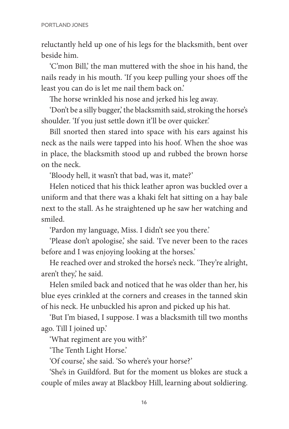reluctantly held up one of his legs for the blacksmith, bent over beside him.

'C'mon Bill,' the man muttered with the shoe in his hand, the nails ready in his mouth. 'If you keep pulling your shoes off the least you can do is let me nail them back on.'

The horse wrinkled his nose and jerked his leg away.

'Don't be a silly bugger,' the blacksmith said, stroking the horse's shoulder. 'If you just settle down it'll be over quicker.'

Bill snorted then stared into space with his ears against his neck as the nails were tapped into his hoof. When the shoe was in place, the blacksmith stood up and rubbed the brown horse on the neck.

'Bloody hell, it wasn't that bad, was it, mate?'

Helen noticed that his thick leather apron was buckled over a uniform and that there was a khaki felt hat sitting on a hay bale next to the stall. As he straightened up he saw her watching and smiled.

'Pardon my language, Miss. I didn't see you there.'

'Please don't apologise,' she said. 'I've never been to the races before and I was enjoying looking at the horses.'

He reached over and stroked the horse's neck. 'They're alright, aren't they,' he said.

Helen smiled back and noticed that he was older than her, his blue eyes crinkled at the corners and creases in the tanned skin of his neck. He unbuckled his apron and picked up his hat.

'But I'm biased, I suppose. I was a blacksmith till two months ago. Till I joined up.'

'What regiment are you with?'

'The Tenth Light Horse.'

'Of course,' she said. 'So where's your horse?'

'She's in Guildford. But for the moment us blokes are stuck a couple of miles away at Blackboy Hill, learning about soldiering.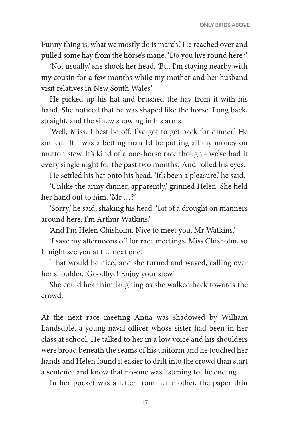Funny thing is, what we mostly do is march.' He reached over and pulled some hay from the horse's mane. 'Do you live round here?'

'Not usually,' she shook her head. 'But I'm staying nearby with my cousin for a few months while my mother and her husband visit relatives in New South Wales.'

He picked up his hat and brushed the hay from it with his hand. She noticed that he was shaped like the horse. Long back, straight, and the sinew showing in his arms.

'Well, Miss. I best be off. I've got to get back for dinner.' He smiled. 'If I was a betting man I'd be putting all my money on mutton stew. It's kind of a one-horse race though – we've had it every single night for the past two months.' And rolled his eyes.

He settled his hat onto his head. 'It's been a pleasure,' he said.

'Unlike the army dinner, apparently,' grinned Helen. She held her hand out to him. 'Mr …?'

'Sorry,' he said, shaking his head. 'Bit of a drought on manners around here. I'm Arthur Watkins.'

'And I'm Helen Chisholm. Nice to meet you, Mr Watkins.'

'I save my afternoons off for race meetings, Miss Chisholm, so I might see you at the next one.'

'That would be nice,' and she turned and waved, calling over her shoulder. 'Goodbye! Enjoy your stew.'

She could hear him laughing as she walked back towards the crowd.

At the next race meeting Anna was shadowed by William Landsdale, a young naval officer whose sister had been in her class at school. He talked to her in a low voice and his shoulders were broad beneath the seams of his uniform and he touched her hands and Helen found it easier to drift into the crowd than start a sentence and know that no-one was listening to the ending.

In her pocket was a letter from her mother, the paper thin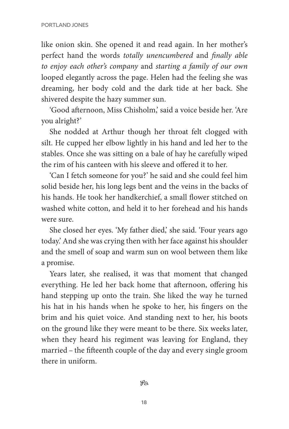like onion skin. She opened it and read again. In her mother's perfect hand the words *totally unencumbered* and *finally able to enjoy each other's company* and *starting a family of our own* looped elegantly across the page. Helen had the feeling she was dreaming, her body cold and the dark tide at her back. She shivered despite the hazy summer sun.

'Good afternoon, Miss Chisholm,' said a voice beside her. 'Are you alright?'

She nodded at Arthur though her throat felt clogged with silt. He cupped her elbow lightly in his hand and led her to the stables. Once she was sitting on a bale of hay he carefully wiped the rim of his canteen with his sleeve and offered it to her.

'Can I fetch someone for you?' he said and she could feel him solid beside her, his long legs bent and the veins in the backs of his hands. He took her handkerchief, a small flower stitched on washed white cotton, and held it to her forehead and his hands were sure.

She closed her eyes. 'My father died,' she said. 'Four years ago today.' And she was crying then with her face against his shoulder and the smell of soap and warm sun on wool between them like a promise.

Years later, she realised, it was that moment that changed everything. He led her back home that afternoon, offering his hand stepping up onto the train. She liked the way he turned his hat in his hands when he spoke to her, his fingers on the brim and his quiet voice. And standing next to her, his boots on the ground like they were meant to be there. Six weeks later, when they heard his regiment was leaving for England, they married – the fifteenth couple of the day and every single groom there in uniform.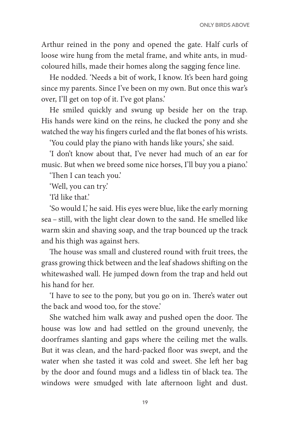Arthur reined in the pony and opened the gate. Half curls of loose wire hung from the metal frame, and white ants, in mudcoloured hills, made their homes along the sagging fence line.

He nodded. 'Needs a bit of work, I know. It's been hard going since my parents. Since I've been on my own. But once this war's over, I'll get on top of it. I've got plans.'

He smiled quickly and swung up beside her on the trap. His hands were kind on the reins, he clucked the pony and she watched the way his fingers curled and the flat bones of his wrists.

'You could play the piano with hands like yours,' she said.

'I don't know about that, I've never had much of an ear for music. But when we breed some nice horses, I'll buy you a piano.'

'Then I can teach you.'

'Well, you can try.'

'I'd like that.'

'So would I,' he said. His eyes were blue, like the early morning sea – still, with the light clear down to the sand. He smelled like warm skin and shaving soap, and the trap bounced up the track and his thigh was against hers.

The house was small and clustered round with fruit trees, the grass growing thick between and the leaf shadows shifting on the whitewashed wall. He jumped down from the trap and held out his hand for her.

'I have to see to the pony, but you go on in. There's water out the back and wood too, for the stove.'

She watched him walk away and pushed open the door. The house was low and had settled on the ground unevenly, the doorframes slanting and gaps where the ceiling met the walls. But it was clean, and the hard-packed floor was swept, and the water when she tasted it was cold and sweet. She left her bag by the door and found mugs and a lidless tin of black tea. The windows were smudged with late afternoon light and dust.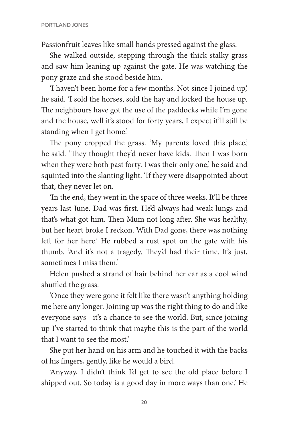Passionfruit leaves like small hands pressed against the glass.

She walked outside, stepping through the thick stalky grass and saw him leaning up against the gate. He was watching the pony graze and she stood beside him.

'I haven't been home for a few months. Not since I joined up,' he said. 'I sold the horses, sold the hay and locked the house up. The neighbours have got the use of the paddocks while I'm gone and the house, well it's stood for forty years, I expect it'll still be standing when I get home.'

The pony cropped the grass. 'My parents loved this place,' he said. 'They thought they'd never have kids. Then I was born when they were both past forty. I was their only one,' he said and squinted into the slanting light. 'If they were disappointed about that, they never let on.

'In the end, they went in the space of three weeks. It'll be three years last June. Dad was first. He'd always had weak lungs and that's what got him. Then Mum not long after. She was healthy, but her heart broke I reckon. With Dad gone, there was nothing left for her here.' He rubbed a rust spot on the gate with his thumb. 'And it's not a tragedy. They'd had their time. It's just, sometimes I miss them<sup>3</sup>

Helen pushed a strand of hair behind her ear as a cool wind shuffled the grass.

'Once they were gone it felt like there wasn't anything holding me here any longer. Joining up was the right thing to do and like everyone says – it's a chance to see the world. But, since joining up I've started to think that maybe this is the part of the world that I want to see the most.'

She put her hand on his arm and he touched it with the backs of his fingers, gently, like he would a bird.

'Anyway, I didn't think I'd get to see the old place before I shipped out. So today is a good day in more ways than one.' He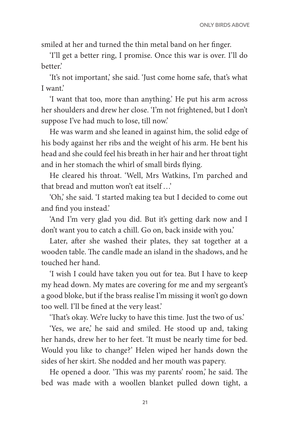smiled at her and turned the thin metal band on her finger.

'I'll get a better ring, I promise. Once this war is over. I'll do better.'

'It's not important,' she said. 'Just come home safe, that's what I want.'

'I want that too, more than anything.' He put his arm across her shoulders and drew her close. 'I'm not frightened, but I don't suppose I've had much to lose, till now.'

He was warm and she leaned in against him, the solid edge of his body against her ribs and the weight of his arm. He bent his head and she could feel his breath in her hair and her throat tight and in her stomach the whirl of small birds flying.

He cleared his throat. 'Well, Mrs Watkins, I'm parched and that bread and mutton won't eat itself …'

'Oh,' she said. 'I started making tea but I decided to come out and find you instead.'

'And I'm very glad you did. But it's getting dark now and I don't want you to catch a chill. Go on, back inside with you.'

Later, after she washed their plates, they sat together at a wooden table. The candle made an island in the shadows, and he touched her hand.

'I wish I could have taken you out for tea. But I have to keep my head down. My mates are covering for me and my sergeant's a good bloke, but if the brass realise I'm missing it won't go down too well. I'll be fined at the very least.'

'That's okay. We're lucky to have this time. Just the two of us.'

'Yes, we are,' he said and smiled. He stood up and, taking her hands, drew her to her feet. 'It must be nearly time for bed. Would you like to change?' Helen wiped her hands down the sides of her skirt. She nodded and her mouth was papery.

He opened a door. 'This was my parents' room,' he said. The bed was made with a woollen blanket pulled down tight, a